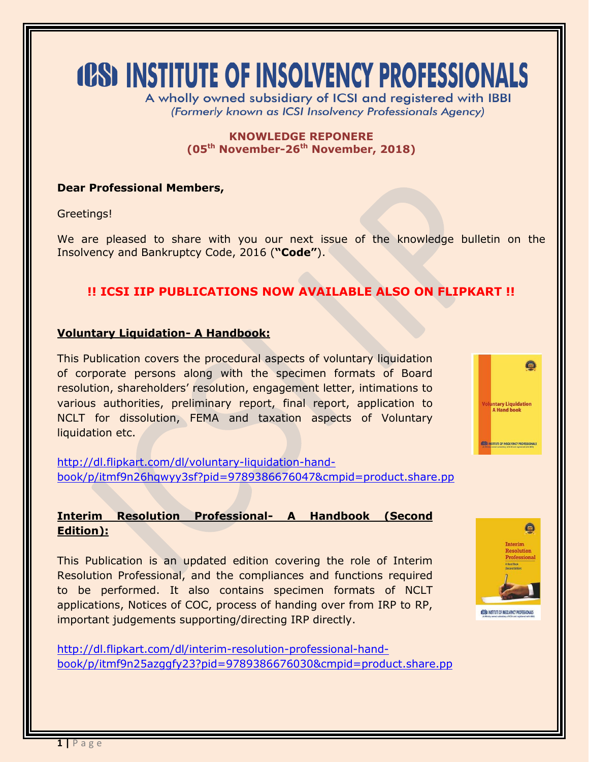# **(CS) INSTITUTE OF INSOLVENCY PROFESSIONALS**

A wholly owned subsidiary of ICSI and registered with IBBI (Formerly known as ICSI Insolvency Professionals Agency)

> **KNOWLEDGE REPONERE (05 th November-26th November, 2018)**

# **Dear Professional Members,**

Greetings!

We are pleased to share with you our next issue of the knowledge bulletin on the Insolvency and Bankruptcy Code, 2016 (**"Code"**).

# **!! ICSI IIP PUBLICATIONS NOW AVAILABLE ALSO ON FLIPKART !!**

### **Voluntary Liquidation- A Handbook:**

This Publication covers the procedural aspects of voluntary liquidation of corporate persons along with the specimen formats of Board resolution, shareholders' resolution, engagement letter, intimations to various authorities, preliminary report, final report, application to NCLT for dissolution, FEMA and taxation aspects of Voluntary liquidation etc.

[http://dl.flipkart.com/dl/voluntary-liquidation-hand](http://dl.flipkart.com/dl/voluntary-liquidation-hand-book/p/itmf9n26hqwyy3sf?pid=9789386676047&cmpid=product.share.pp)[book/p/itmf9n26hqwyy3sf?pid=9789386676047&cmpid=product.share.pp](http://dl.flipkart.com/dl/voluntary-liquidation-hand-book/p/itmf9n26hqwyy3sf?pid=9789386676047&cmpid=product.share.pp)

# **Interim Resolution Professional- A Handbook (Second Edition):**

This Publication is an updated edition covering the role of Interim Resolution Professional, and the compliances and functions required to be performed. It also contains specimen formats of NCLT applications, Notices of COC, process of handing over from IRP to RP, important judgements supporting/directing IRP directly.

[http://dl.flipkart.com/dl/interim-resolution-professional-hand](http://dl.flipkart.com/dl/interim-resolution-professional-hand-book/p/itmf9n25azggfy23?pid=9789386676030&cmpid=product.share.pp)[book/p/itmf9n25azggfy23?pid=9789386676030&cmpid=product.share.pp](http://dl.flipkart.com/dl/interim-resolution-professional-hand-book/p/itmf9n25azggfy23?pid=9789386676030&cmpid=product.share.pp)



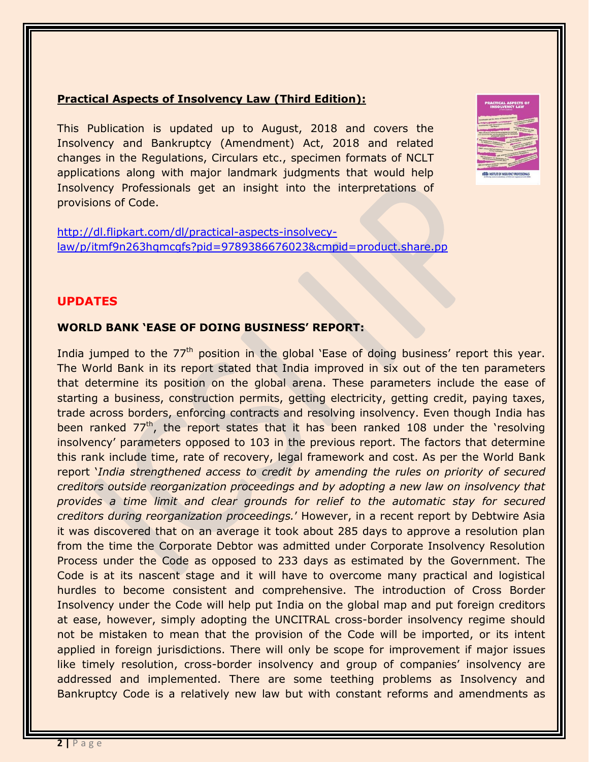## **Practical Aspects of Insolvency Law (Third Edition):**

This Publication is updated up to August, 2018 and covers the Insolvency and Bankruptcy (Amendment) Act, 2018 and related changes in the Regulations, Circulars etc., specimen formats of NCLT applications along with major landmark judgments that would help Insolvency Professionals get an insight into the interpretations of provisions of Code.



[http://dl.flipkart.com/dl/practical-aspects-insolvecy](http://dl.flipkart.com/dl/practical-aspects-insolvecy-law/p/itmf9n263hqmcgfs?pid=9789386676023&cmpid=product.share.pp)[law/p/itmf9n263hqmcgfs?pid=9789386676023&cmpid=product.share.pp](http://dl.flipkart.com/dl/practical-aspects-insolvecy-law/p/itmf9n263hqmcgfs?pid=9789386676023&cmpid=product.share.pp)

#### **UPDATES**

#### **WORLD BANK 'EASE OF DOING BUSINESS' REPORT:**

India jumped to the 77<sup>th</sup> position in the global 'Ease of doing business' report this year. The World Bank in its report stated that India improved in six out of the ten parameters that determine its position on the global arena. These parameters include the ease of starting a business, construction permits, getting electricity, getting credit, paying taxes, trade across borders, enforcing contracts and resolving insolvency. Even though India has been ranked 77<sup>th</sup>, the report states that it has been ranked 108 under the 'resolving insolvency' parameters opposed to 103 in the previous report. The factors that determine this rank include time, rate of recovery, legal framework and cost. As per the World Bank report '*India strengthened access to credit by amending the rules on priority of secured creditors outside reorganization proceedings and by adopting a new law on insolvency that provides a time limit and clear grounds for relief to the automatic stay for secured creditors during reorganization proceedings.*' However, in a recent report by Debtwire Asia it was discovered that on an average it took about 285 days to approve a resolution plan from the time the Corporate Debtor was admitted under Corporate Insolvency Resolution Process under the Code as opposed to 233 days as estimated by the Government. The Code is at its nascent stage and it will have to overcome many practical and logistical hurdles to become consistent and comprehensive. The introduction of Cross Border Insolvency under the Code will help put India on the global map and put foreign creditors at ease, however, simply adopting the UNCITRAL cross-border insolvency regime should not be mistaken to mean that the provision of the Code will be imported, or its intent applied in foreign jurisdictions. There will only be scope for improvement if major issues like timely resolution, cross-border insolvency and group of companies' insolvency are addressed and implemented. There are some teething problems as Insolvency and Bankruptcy Code is a relatively new law but with constant reforms and amendments as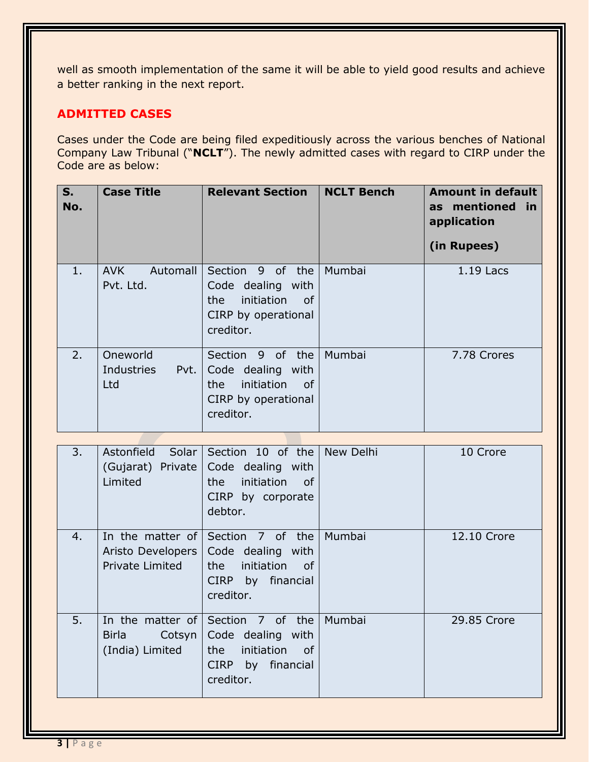well as smooth implementation of the same it will be able to yield good results and achieve a better ranking in the next report.

# **ADMITTED CASES**

Cases under the Code are being filed expeditiously across the various benches of National Company Law Tribunal ("**NCLT**"). The newly admitted cases with regard to CIRP under the Code are as below:

| S.<br>No. | <b>Case Title</b>                     | <b>Relevant Section</b>                                                                               | <b>NCLT Bench</b> | <b>Amount in default</b><br>as mentioned in<br>application<br>(in Rupees) |
|-----------|---------------------------------------|-------------------------------------------------------------------------------------------------------|-------------------|---------------------------------------------------------------------------|
| 1.        | <b>AVK</b><br>Automall<br>Pvt. Ltd.   | Section 9 of the<br>Code dealing with<br>initiation<br>the<br>_of<br>CIRP by operational<br>creditor. | Mumbai            | $1.19$ Lacs                                                               |
| 2.        | Oneworld<br>Industries<br>Pvt.<br>Ltd | Section 9 of the<br>Code dealing with<br>_of<br>initiation<br>the<br>CIRP by operational<br>creditor. | Mumbai            | 7.78 Crores                                                               |

| 3. | Astonfield Solar<br>(Gujarat) Private<br>Limited                | Section 10 of the<br>Code dealing with<br>initiation<br>the<br>of<br>CIRP by corporate<br>debtor. | New Delhi | 10 Crore    |
|----|-----------------------------------------------------------------|---------------------------------------------------------------------------------------------------|-----------|-------------|
| 4. | In the matter of<br>Aristo Developers<br><b>Private Limited</b> | Section 7 of the<br>Code dealing with<br>initiation of<br>the<br>CIRP by financial<br>creditor.   | Mumbai    | 12.10 Crore |
| 5. | In the matter of<br>Cotsyn<br>Birla<br>(India) Limited          | Section 7 of the<br>Code dealing with<br>initiation of<br>the<br>CIRP by financial<br>creditor.   | Mumbai    | 29.85 Crore |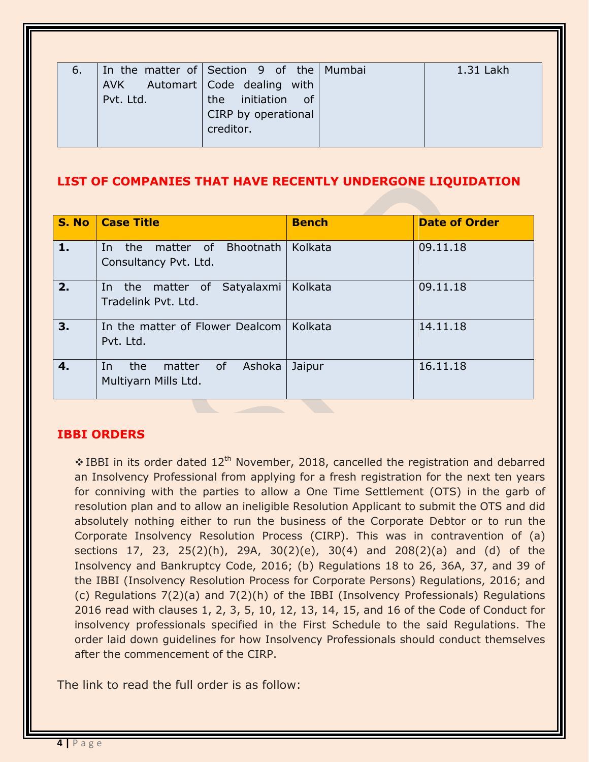| 6. |           | In the matter of Section 9 of the Mumbai | 1.31 Lakh |
|----|-----------|------------------------------------------|-----------|
|    |           | AVK Automart   Code dealing with         |           |
|    | Pvt. Ltd. | initiation of<br>the                     |           |
|    |           | CIRP by operational                      |           |
|    |           | creditor.                                |           |
|    |           |                                          |           |

# **LIST OF COMPANIES THAT HAVE RECENTLY UNDERGONE LIQUIDATION**

| S. No | <b>Case Title</b>                                           | <b>Bench</b> | <b>Date of Order</b> |
|-------|-------------------------------------------------------------|--------------|----------------------|
| 1.    | matter of Bhootnath<br>the<br>In.<br>Consultancy Pvt. Ltd.  | Kolkata      | 09.11.18             |
| 2.    | In the matter of Satyalaxmi<br>Tradelink Pvt. Ltd.          | Kolkata      | 09.11.18             |
| 3.    | In the matter of Flower Dealcom<br>Pvt. Ltd.                | Kolkata      | 14.11.18             |
| 4.    | Ashoka<br>the<br>of<br>In<br>matter<br>Multiyarn Mills Ltd. | Jaipur       | 16.11.18             |

# **IBBI ORDERS**

 $\cdot$  IBBI in its order dated 12<sup>th</sup> November, 2018, cancelled the registration and debarred an Insolvency Professional from applying for a fresh registration for the next ten years for conniving with the parties to allow a One Time Settlement (OTS) in the garb of resolution plan and to allow an ineligible Resolution Applicant to submit the OTS and did absolutely nothing either to run the business of the Corporate Debtor or to run the Corporate Insolvency Resolution Process (CIRP). This was in contravention of (a) sections 17, 23, 25(2)(h), 29A, 30(2)(e), 30(4) and 208(2)(a) and (d) of the Insolvency and Bankruptcy Code, 2016; (b) Regulations 18 to 26, 36A, 37, and 39 of the IBBI (Insolvency Resolution Process for Corporate Persons) Regulations, 2016; and (c) Regulations 7(2)(a) and 7(2)(h) of the IBBI (Insolvency Professionals) Regulations 2016 read with clauses 1, 2, 3, 5, 10, 12, 13, 14, 15, and 16 of the Code of Conduct for insolvency professionals specified in the First Schedule to the said Regulations. The order laid down guidelines for how Insolvency Professionals should conduct themselves after the commencement of the CIRP.

The link to read the full order is as follow: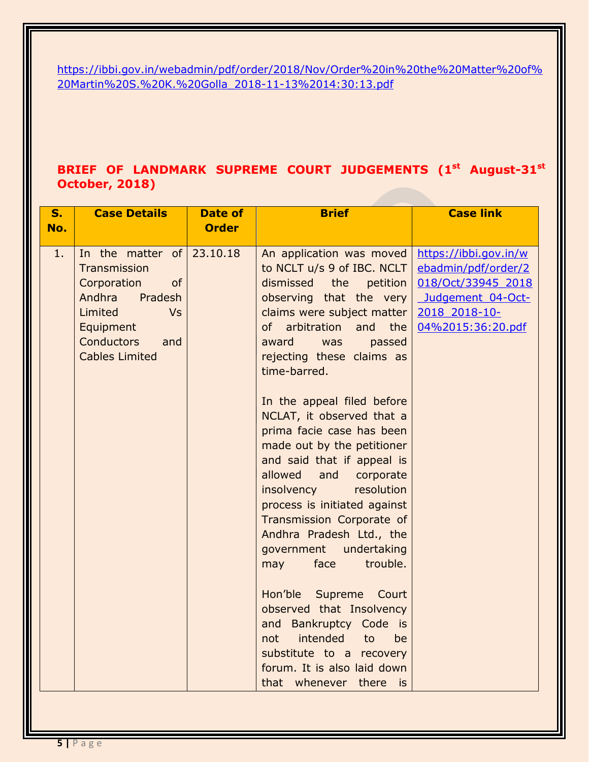[https://ibbi.gov.in/webadmin/pdf/order/2018/Nov/Order%20in%20the%20Matter%20of%](https://ibbi.gov.in/webadmin/pdf/order/2018/Nov/Order%20in%20the%20Matter%20of%20Martin%20S.%20K.%20Golla_2018-11-13%2014:30:13.pdf) [20Martin%20S.%20K.%20Golla\\_2018-11-13%2014:30:13.pdf](https://ibbi.gov.in/webadmin/pdf/order/2018/Nov/Order%20in%20the%20Matter%20of%20Martin%20S.%20K.%20Golla_2018-11-13%2014:30:13.pdf)

# **BRIEF OF LANDMARK SUPREME COURT JUDGEMENTS (1st August-31st October, 2018)**

| S.  | <b>Case Details</b>                               | <b>Date of</b> | <b>Brief</b>                               | <b>Case link</b>      |
|-----|---------------------------------------------------|----------------|--------------------------------------------|-----------------------|
| No. |                                                   | <b>Order</b>   |                                            |                       |
|     |                                                   |                |                                            |                       |
| 1   | In the matter of                                  | 23.10.18       | An application was moved                   | https://ibbi.gov.in/w |
|     | Transmission                                      |                | to NCLT u/s 9 of IBC. NCLT                 | ebadmin/pdf/order/2   |
|     | Corporation<br>of                                 |                | dismissed<br>the<br>petition               | 018/Oct/33945_2018    |
|     | Andhra<br>Pradesh<br>Limited<br><b>Vs</b>         |                | observing that the very                    | Judgement 04-Oct-     |
|     |                                                   |                | claims were subject matter                 | 2018 2018-10-         |
|     | Equipment                                         |                | of<br>arbitration<br>and<br>the<br>award   | 04%2015:36:20.pdf     |
|     | <b>Conductors</b><br>and<br><b>Cables Limited</b> |                | was<br>passed<br>rejecting these claims as |                       |
|     |                                                   |                | time-barred.                               |                       |
|     |                                                   |                |                                            |                       |
|     |                                                   |                | In the appeal filed before                 |                       |
|     |                                                   |                | NCLAT, it observed that a                  |                       |
|     |                                                   |                | prima facie case has been                  |                       |
|     |                                                   |                | made out by the petitioner                 |                       |
|     |                                                   |                | and said that if appeal is                 |                       |
|     |                                                   |                | allowed<br>and<br>corporate                |                       |
|     |                                                   |                | insolvency<br>resolution                   |                       |
|     |                                                   |                | process is initiated against               |                       |
|     |                                                   |                | Transmission Corporate of                  |                       |
|     |                                                   |                | Andhra Pradesh Ltd., the                   |                       |
|     |                                                   |                | government<br>undertaking                  |                       |
|     |                                                   |                | trouble.<br>face<br>may                    |                       |
|     |                                                   |                |                                            |                       |
|     |                                                   |                | Hon'ble<br>Supreme Court                   |                       |
|     |                                                   |                | observed that Insolvency                   |                       |
|     |                                                   |                | Bankruptcy Code is<br>and                  |                       |
|     |                                                   |                | intended<br>not<br>to<br>be                |                       |
|     |                                                   |                | substitute to a recovery                   |                       |
|     |                                                   |                | forum. It is also laid down                |                       |
|     |                                                   |                | that whenever<br>there<br>is               |                       |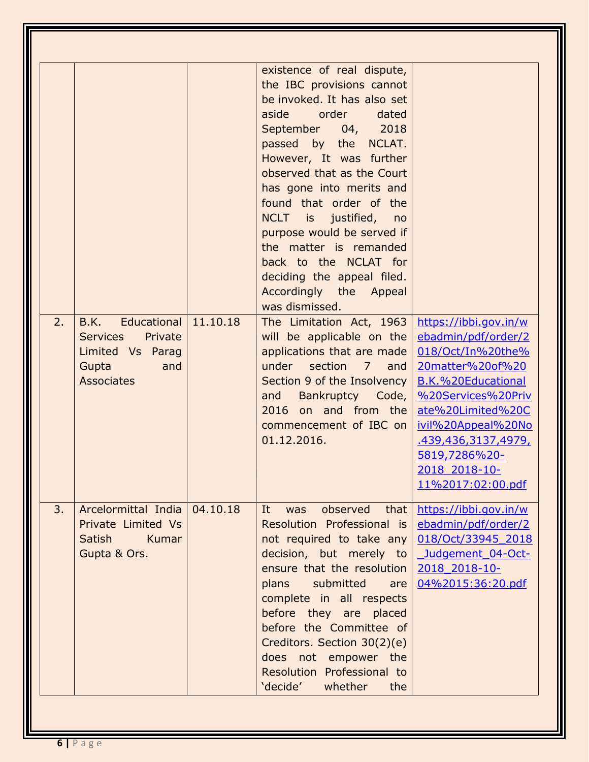|    |                                                                                                            |          | existence of real dispute,<br>the IBC provisions cannot<br>be invoked. It has also set<br>order<br>aside<br>dated<br>September 04,<br>2018<br>passed by the NCLAT.<br>However, It was further<br>observed that as the Court<br>has gone into merits and<br>found that order of the<br>NCLT is justified,<br>no<br>purpose would be served if<br>the matter is remanded<br>back to the NCLAT for<br>deciding the appeal filed.<br>Accordingly the Appeal<br>was dismissed. |                                                                                                                                                                                                                                                            |
|----|------------------------------------------------------------------------------------------------------------|----------|---------------------------------------------------------------------------------------------------------------------------------------------------------------------------------------------------------------------------------------------------------------------------------------------------------------------------------------------------------------------------------------------------------------------------------------------------------------------------|------------------------------------------------------------------------------------------------------------------------------------------------------------------------------------------------------------------------------------------------------------|
| 2. | B.K.<br>Educational<br>Private<br><b>Services</b><br>Limited Vs Parag<br>Gupta<br>and<br><b>Associates</b> | 11.10.18 | The Limitation Act, 1963<br>will be applicable on the<br>applications that are made<br>under section 7<br>and<br>Section 9 of the Insolvency<br>Bankruptcy Code,<br>and<br>2016 on and from the<br>commencement of IBC on<br>01.12.2016.                                                                                                                                                                                                                                  | https://ibbi.gov.in/w<br>ebadmin/pdf/order/2<br>018/Oct/In%20the%<br>20matter%20of%20<br>B.K.%20Educational<br>%20Services%20Priv<br>ate%20Limited%20C<br>ivil%20Appeal%20No<br>.439,436,3137,4979,<br>5819,7286%20-<br>2018 2018-10-<br>11%2017:02:00.pdf |
| 3. | Arcelormittal India<br>Private Limited Vs<br>Satish<br>Kumar<br>Gupta & Ors.                               | 04.10.18 | observed<br>It.<br>that<br>was<br>Resolution Professional is<br>not required to take any<br>decision, but merely to<br>ensure that the resolution<br>submitted<br>plans<br>are<br>complete in all respects<br>before they are placed<br>before the Committee of<br>Creditors. Section 30(2)(e)<br>does not empower the<br>Resolution Professional to<br>'decide'<br>whether<br>the                                                                                        | https://ibbi.gov.in/w<br>ebadmin/pdf/order/2<br>018/Oct/33945 2018<br>Judgement 04-Oct-<br>2018 2018-10-<br>04%2015:36:20.pdf                                                                                                                              |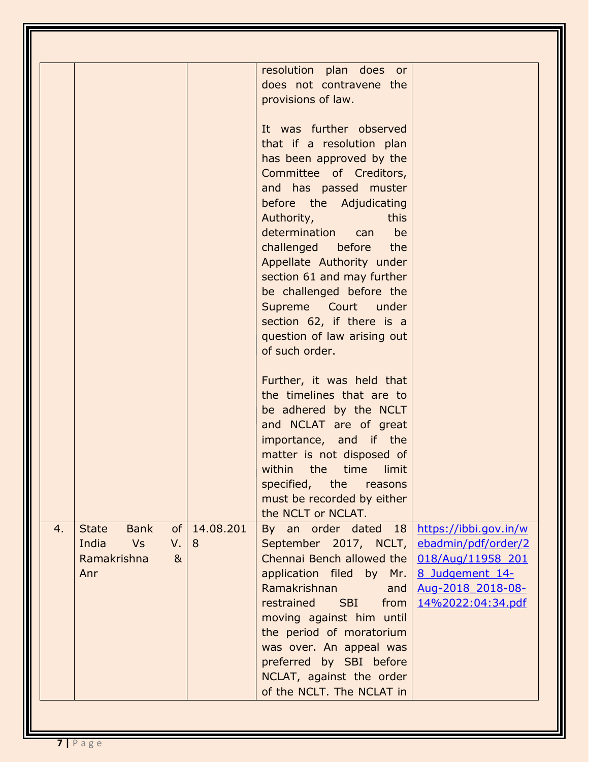| <b>State</b><br><b>Bank</b><br>4.<br>India<br><b>Vs</b><br>Ramakrishna<br>Anr | 14.08.201<br>of<br>V.<br>8<br>8 <sub>k</sub> | resolution plan does or<br>does not contravene the<br>provisions of law.<br>It was further observed<br>that if a resolution plan<br>has been approved by the<br>Committee of Creditors,<br>and has passed muster<br>before the Adjudicating<br>Authority,<br>this<br>determination<br>be<br>can<br>challenged before<br>the<br>Appellate Authority under<br>section 61 and may further<br>be challenged before the<br>Supreme Court under<br>section 62, if there is a<br>question of law arising out<br>of such order.<br>Further, it was held that<br>the timelines that are to<br>be adhered by the NCLT<br>and NCLAT are of great<br>importance, and if the<br>matter is not disposed of<br>within the time limit<br>specified, the reasons<br>must be recorded by either<br>the NCLT or NCLAT.<br>By an order dated 18<br>https://ibbi.gov.in/w<br>September 2017, NCLT,<br>ebadmin/pdf/order/2<br>Chennai Bench allowed the<br>018/Aug/11958 201<br>application filed by Mr. $8$ Judgement $14-$<br>Ramakrishnan<br>Aug-2018 2018-08-<br>and<br>restrained SBI from<br>14%2022:04:34.pdf<br>moving against him until<br>the period of moratorium<br>was over. An appeal was<br>preferred by SBI before<br>NCLAT, against the order |
|-------------------------------------------------------------------------------|----------------------------------------------|------------------------------------------------------------------------------------------------------------------------------------------------------------------------------------------------------------------------------------------------------------------------------------------------------------------------------------------------------------------------------------------------------------------------------------------------------------------------------------------------------------------------------------------------------------------------------------------------------------------------------------------------------------------------------------------------------------------------------------------------------------------------------------------------------------------------------------------------------------------------------------------------------------------------------------------------------------------------------------------------------------------------------------------------------------------------------------------------------------------------------------------------------------------------------------------------------------------------------------------|
|                                                                               |                                              | of the NCLT. The NCLAT in                                                                                                                                                                                                                                                                                                                                                                                                                                                                                                                                                                                                                                                                                                                                                                                                                                                                                                                                                                                                                                                                                                                                                                                                                |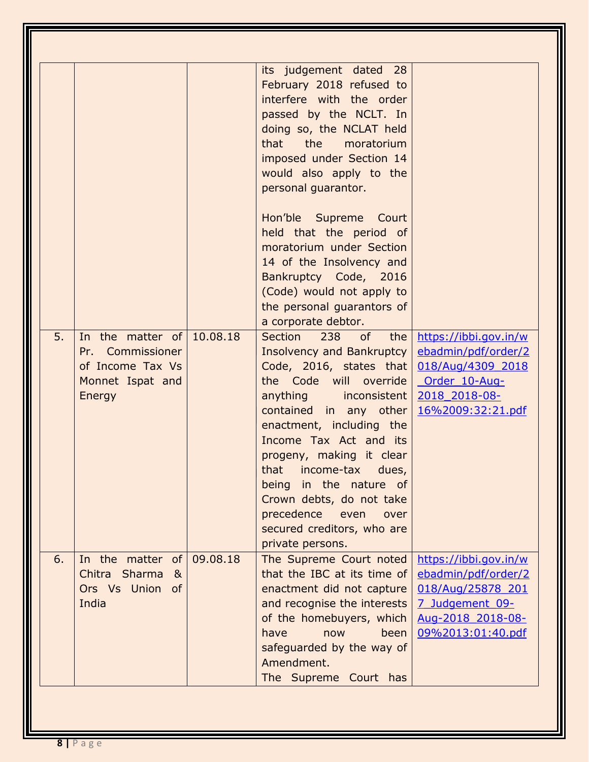| 5. | In the matter of<br>Pr. Commissioner<br>of Income Tax Vs            | 10.08.18 | its judgement dated 28<br>February 2018 refused to<br>interfere with the order<br>passed by the NCLT. In<br>doing so, the NCLAT held<br>the<br>that<br>moratorium<br>imposed under Section 14<br>would also apply to the<br>personal guarantor.<br>Hon'ble Supreme Court<br>held that the period of<br>moratorium under Section<br>14 of the Insolvency and<br>Bankruptcy Code, 2016<br>(Code) would not apply to<br>the personal guarantors of<br>a corporate debtor.<br>238<br>Section<br>of<br>the<br><b>Insolvency and Bankruptcy</b><br>Code, 2016, states that | https://ibbi.gov.in/w<br>ebadmin/pdf/order/2<br>018/Aug/4309 2018                                                              |
|----|---------------------------------------------------------------------|----------|----------------------------------------------------------------------------------------------------------------------------------------------------------------------------------------------------------------------------------------------------------------------------------------------------------------------------------------------------------------------------------------------------------------------------------------------------------------------------------------------------------------------------------------------------------------------|--------------------------------------------------------------------------------------------------------------------------------|
|    | Monnet Ispat and<br>Energy                                          |          | the Code will override<br>anything inconsistent<br>contained in any other<br>enactment, including the<br>Income Tax Act and its<br>progeny, making it clear<br>that income-tax dues,<br>being in the nature of<br>Crown debts, do not take<br>precedence<br>even<br>over<br>secured creditors, who are<br>private persons.                                                                                                                                                                                                                                           | Order 10-Aug-<br>2018 2018-08-<br><u>16%2009:32:21.pdf</u>                                                                     |
| 6. | In the matter of<br>Chitra Sharma<br>୍ଷ<br>Ors Vs Union of<br>India | 09.08.18 | The Supreme Court noted<br>that the IBC at its time of<br>enactment did not capture<br>and recognise the interests<br>of the homebuyers, which<br>have<br>now<br>been<br>safeguarded by the way of<br>Amendment.<br>The Supreme Court has                                                                                                                                                                                                                                                                                                                            | https://ibbi.gov.in/w<br>ebadmin/pdf/order/2<br>018/Aug/25878 201<br>7 Judgement 09-<br>Aug-2018 2018-08-<br>09%2013:01:40.pdf |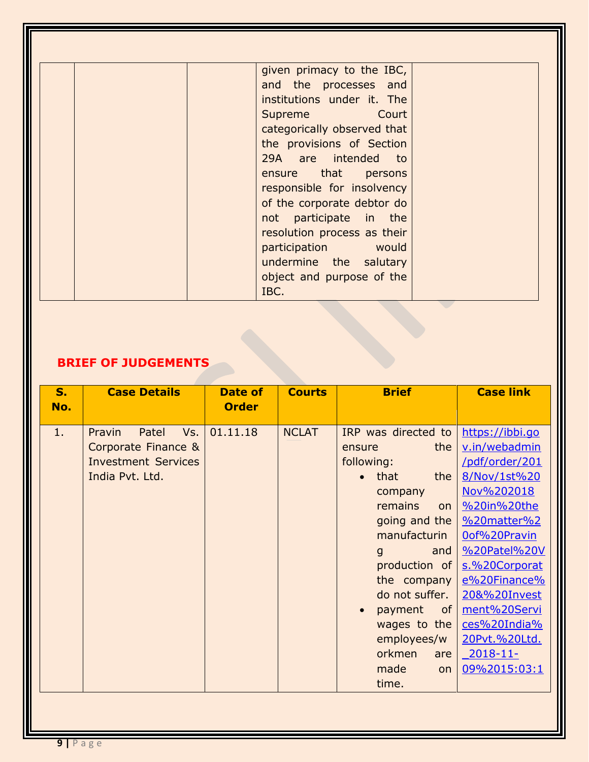| the provisions of Section<br>29A are intended to<br>ensure that<br>persons<br>responsible for insolvency<br>of the corporate debtor do<br>not participate in the<br>resolution process as their | given primacy to the IBC,<br>and the processes and<br>institutions under it. The<br>Supreme Court |  |
|-------------------------------------------------------------------------------------------------------------------------------------------------------------------------------------------------|---------------------------------------------------------------------------------------------------|--|
| would<br>participation<br>undermine the salutary<br>object and purpose of the                                                                                                                   | categorically observed that                                                                       |  |

# **BRIEF OF JUDGEMENTS**

| S.<br>No. | <b>Case Details</b>                                                                            | <b>Date of</b><br><b>Order</b> | <b>Courts</b> | <b>Brief</b>                                                                                                                                                                                                                                                                                      | <b>Case link</b>                                                                                                                                                                                                                                                                |
|-----------|------------------------------------------------------------------------------------------------|--------------------------------|---------------|---------------------------------------------------------------------------------------------------------------------------------------------------------------------------------------------------------------------------------------------------------------------------------------------------|---------------------------------------------------------------------------------------------------------------------------------------------------------------------------------------------------------------------------------------------------------------------------------|
| 1.        | Vs.<br>Pravin<br>Patel<br>Corporate Finance &<br><b>Investment Services</b><br>India Pvt. Ltd. | 01.11.18                       | <b>NCLAT</b>  | IRP was directed to<br>the<br>ensure<br>following:<br>that<br>the<br>company<br>remains<br>on<br>going and the<br>manufacturin<br>and<br>$\mathbf{g}$<br>production of<br>the company<br>do not suffer.<br>payment<br>of l<br>wages to the<br>employees/w<br>orkmen<br>are<br>made<br>on<br>time. | https://ibbi.go<br>v.in/webadmin<br>/pdf/order/201<br>8/Nov/1st%20<br>Nov%202018<br>%20in%20the<br>%20matter%2<br>Oof%20Pravin<br>%20Patel%20V<br>s.%20Corporat<br>e%20Finance%<br>20&%20Invest<br>ment%20Servi<br>ces%20India%<br>20Pvt.%20Ltd.<br>$2018 - 11$<br>09%2015:03:1 |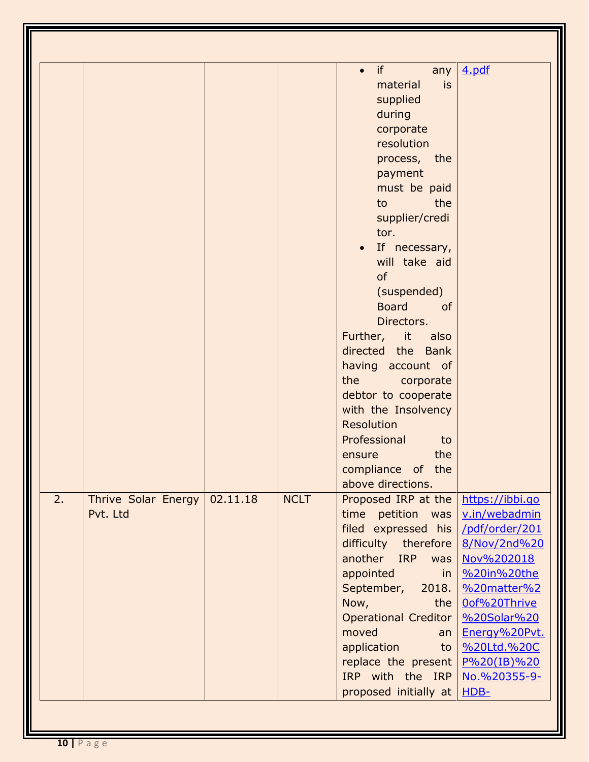| 2.<br>Thrive Solar Energy<br>Pvt. Ltd | 02.11.18 | <b>NCLT</b> | if<br>any<br>$\bullet$<br>material<br><b>is</b><br>supplied<br>during<br>corporate<br>resolution<br>process, the<br>payment<br>must be paid<br>to<br>the<br>supplier/credi<br>tor.<br>If necessary,<br>will take aid<br>of<br>(suspended)<br><b>Board</b><br><sub>of</sub><br>Directors.<br>Further, it also<br>directed the Bank<br>having account of<br>the<br>corporate<br>debtor to cooperate<br>with the Insolvency<br>Resolution<br>Professional<br>to<br>the<br>ensure<br>compliance of the<br>above directions.<br>Proposed IRP at the<br>time petition was<br>filed expressed his<br>difficulty therefore<br>another IRP<br>was<br>appointed<br>in<br>September,<br>2018.<br>Now,<br>the<br><b>Operational Creditor</b><br>moved<br>an<br>application<br>to<br>replace the present<br>IRP with the IRP<br>proposed initially at | 4.pdf<br>https://ibbi.go<br>v.in/webadmin<br>/pdf/order/201<br>8/Nov/2nd%20<br>Nov%202018<br>%20in%20the<br>%20matter%2<br>Oof%20Thrive<br>%20Solar%20<br>Energy%20Pvt.<br>%20Ltd.%20C<br>$P\%20(IB)\%20$<br>No.%20355-9-<br>$HDB-$ |
|---------------------------------------|----------|-------------|------------------------------------------------------------------------------------------------------------------------------------------------------------------------------------------------------------------------------------------------------------------------------------------------------------------------------------------------------------------------------------------------------------------------------------------------------------------------------------------------------------------------------------------------------------------------------------------------------------------------------------------------------------------------------------------------------------------------------------------------------------------------------------------------------------------------------------------|-------------------------------------------------------------------------------------------------------------------------------------------------------------------------------------------------------------------------------------|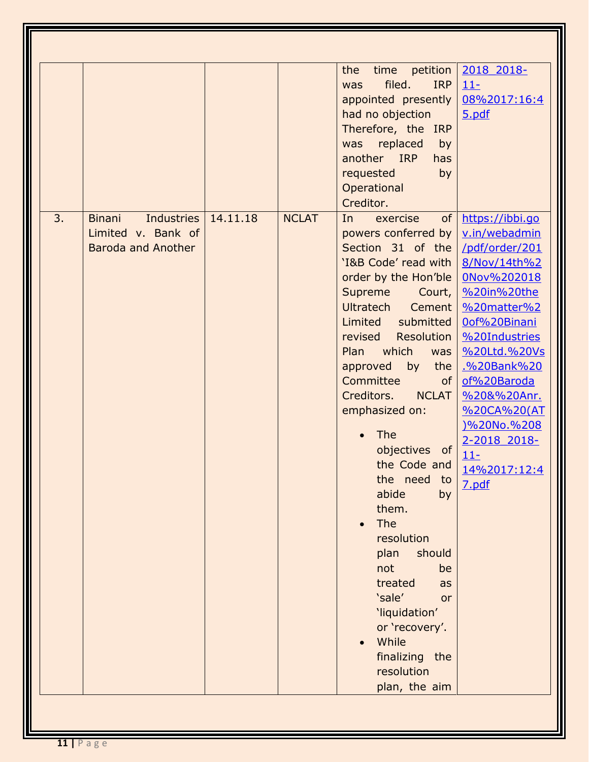| 3. | <b>Binani</b><br>Industries<br>Limited v. Bank of<br><b>Baroda and Another</b> | 14.11.18 | <b>NCLAT</b> | petition<br>the<br>time<br>filed.<br><b>IRP</b><br>was<br>appointed presently<br>had no objection<br>Therefore, the IRP<br>replaced<br>was<br>by<br>another IRP<br>has<br>requested<br>by<br>Operational<br>Creditor.<br>of<br>exercise<br>In<br>powers conferred by<br>Section 31 of the<br>'I&B Code' read with<br>order by the Hon'ble<br>Supreme<br>Court,<br>Ultratech<br>Cement<br>submitted<br>Limited<br>Resolution<br>revised<br>which<br><b>Plan</b><br>was<br>approved<br>by<br>the<br>Committee<br>0f<br>Creditors.<br><b>NCLAT</b><br>emphasized on:<br><b>The</b> | 2018 2018-<br>$11 -$<br>08%2017:16:4<br>5.pdf<br>https://ibbi.go<br>v.in/webadmin<br>/pdf/order/201<br>8/Nov/14th%2<br>0Nov%202018<br>%20in%20the<br>%20matter%2<br>Oof%20Binani<br>%20Industries<br>%20Ltd.%20Vs<br>.%20Bank%20<br>of%20Baroda<br>%20&%20Anr.<br>%20CA%20(AT<br>)%20No.%208<br>2-2018 2018- |
|----|--------------------------------------------------------------------------------|----------|--------------|---------------------------------------------------------------------------------------------------------------------------------------------------------------------------------------------------------------------------------------------------------------------------------------------------------------------------------------------------------------------------------------------------------------------------------------------------------------------------------------------------------------------------------------------------------------------------------|--------------------------------------------------------------------------------------------------------------------------------------------------------------------------------------------------------------------------------------------------------------------------------------------------------------|
|    |                                                                                |          |              | objectives of<br>the Code and<br>the need<br>to<br>abide<br>by<br>them.<br>The<br>resolution<br>plan<br>should<br>not<br>be<br>treated<br>as<br>'sale'<br><b>or</b><br>'liquidation'<br>or 'recovery'.<br>While<br>finalizing the<br>resolution<br>plan, the aim                                                                                                                                                                                                                                                                                                                | $11 -$<br>14%2017:12:4<br>7.pdf                                                                                                                                                                                                                                                                              |